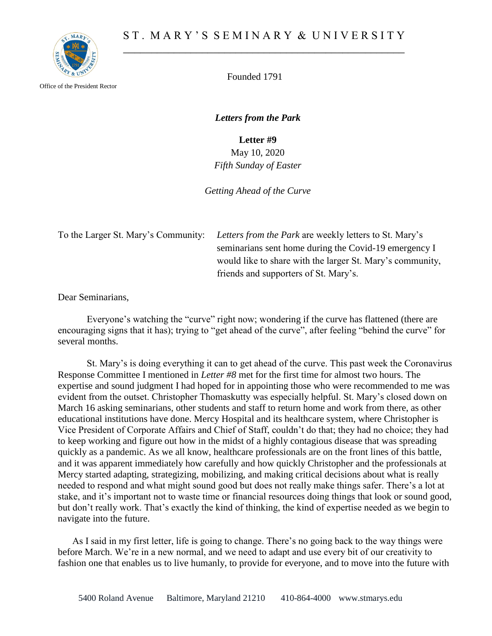

Office of the President Rector

Founded 1791

*Letters from the Park*

**Letter #9**

May 10, 2020 *Fifth Sunday of Easter*

*Getting Ahead of the Curve*

To the Larger St. Mary's Community: *Letters from the Park* are weekly letters to St. Mary's seminarians sent home during the Covid-19 emergency I would like to share with the larger St. Mary's community, friends and supporters of St. Mary's.

Dear Seminarians,

Everyone's watching the "curve" right now; wondering if the curve has flattened (there are encouraging signs that it has); trying to "get ahead of the curve", after feeling "behind the curve" for several months.

St. Mary's is doing everything it can to get ahead of the curve. This past week the Coronavirus Response Committee I mentioned in *Letter #8* met for the first time for almost two hours. The expertise and sound judgment I had hoped for in appointing those who were recommended to me was evident from the outset. Christopher Thomaskutty was especially helpful. St. Mary's closed down on March 16 asking seminarians, other students and staff to return home and work from there, as other educational institutions have done. Mercy Hospital and its healthcare system, where Christopher is Vice President of Corporate Affairs and Chief of Staff, couldn't do that; they had no choice; they had to keep working and figure out how in the midst of a highly contagious disease that was spreading quickly as a pandemic. As we all know, healthcare professionals are on the front lines of this battle, and it was apparent immediately how carefully and how quickly Christopher and the professionals at Mercy started adapting, strategizing, mobilizing, and making critical decisions about what is really needed to respond and what might sound good but does not really make things safer. There's a lot at stake, and it's important not to waste time or financial resources doing things that look or sound good, but don't really work. That's exactly the kind of thinking, the kind of expertise needed as we begin to navigate into the future.

As I said in my first letter, life is going to change. There's no going back to the way things were before March. We're in a new normal, and we need to adapt and use every bit of our creativity to fashion one that enables us to live humanly, to provide for everyone, and to move into the future with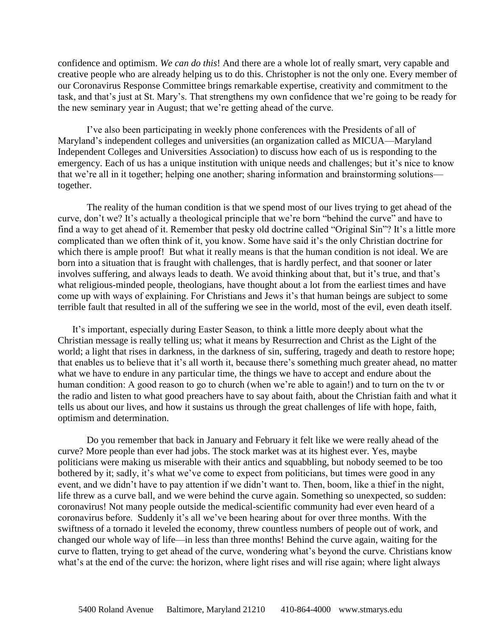confidence and optimism. *We can do this*! And there are a whole lot of really smart, very capable and creative people who are already helping us to do this. Christopher is not the only one. Every member of our Coronavirus Response Committee brings remarkable expertise, creativity and commitment to the task, and that's just at St. Mary's. That strengthens my own confidence that we're going to be ready for the new seminary year in August; that we're getting ahead of the curve.

I've also been participating in weekly phone conferences with the Presidents of all of Maryland's independent colleges and universities (an organization called as MICUA—Maryland Independent Colleges and Universities Association) to discuss how each of us is responding to the emergency. Each of us has a unique institution with unique needs and challenges; but it's nice to know that we're all in it together; helping one another; sharing information and brainstorming solutions together.

The reality of the human condition is that we spend most of our lives trying to get ahead of the curve, don't we? It's actually a theological principle that we're born "behind the curve" and have to find a way to get ahead of it. Remember that pesky old doctrine called "Original Sin"? It's a little more complicated than we often think of it, you know. Some have said it's the only Christian doctrine for which there is ample proof! But what it really means is that the human condition is not ideal. We are born into a situation that is fraught with challenges, that is hardly perfect, and that sooner or later involves suffering, and always leads to death. We avoid thinking about that, but it's true, and that's what religious-minded people, theologians, have thought about a lot from the earliest times and have come up with ways of explaining. For Christians and Jews it's that human beings are subject to some terrible fault that resulted in all of the suffering we see in the world, most of the evil, even death itself.

It's important, especially during Easter Season, to think a little more deeply about what the Christian message is really telling us; what it means by Resurrection and Christ as the Light of the world; a light that rises in darkness, in the darkness of sin, suffering, tragedy and death to restore hope; that enables us to believe that it's all worth it, because there's something much greater ahead, no matter what we have to endure in any particular time, the things we have to accept and endure about the human condition: A good reason to go to church (when we're able to again!) and to turn on the tv or the radio and listen to what good preachers have to say about faith, about the Christian faith and what it tells us about our lives, and how it sustains us through the great challenges of life with hope, faith, optimism and determination.

Do you remember that back in January and February it felt like we were really ahead of the curve? More people than ever had jobs. The stock market was at its highest ever. Yes, maybe politicians were making us miserable with their antics and squabbling, but nobody seemed to be too bothered by it; sadly, it's what we've come to expect from politicians, but times were good in any event, and we didn't have to pay attention if we didn't want to. Then, boom, like a thief in the night, life threw as a curve ball, and we were behind the curve again. Something so unexpected, so sudden: coronavirus! Not many people outside the medical-scientific community had ever even heard of a coronavirus before. Suddenly it's all we've been hearing about for over three months. With the swiftness of a tornado it leveled the economy, threw countless numbers of people out of work, and changed our whole way of life—in less than three months! Behind the curve again, waiting for the curve to flatten, trying to get ahead of the curve, wondering what's beyond the curve. Christians know what's at the end of the curve: the horizon, where light rises and will rise again; where light always